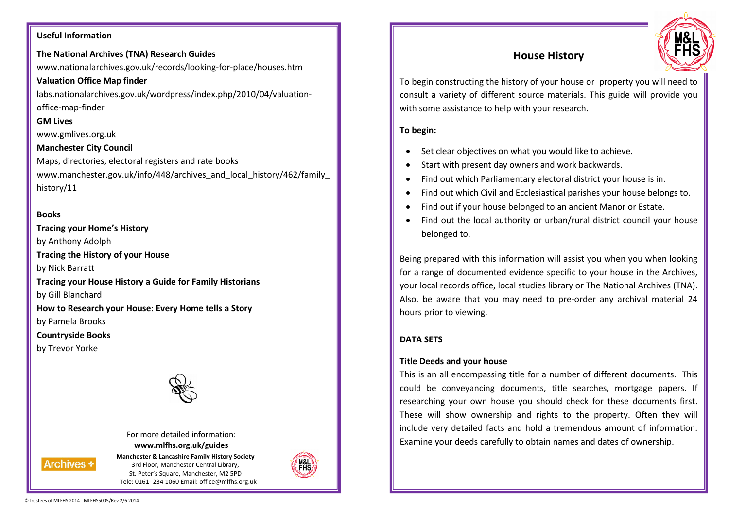### **Useful Information**

# **The National Archives (TNA) Research Guides**

www.nationalarchives.gov.uk/records/looking-for-place/houses.htm**Valuation Office Map finder** 

labs.nationalarchives.gov.uk/wordpress/index.php/2010/04/valuationoffice-map-finder

### **GM Lives**

www.gmlives.org.uk

# **Manchester City Council**

Maps, directories, electoral registers and rate books www.manchester.gov.uk/info/448/archives\_and\_local\_history/462/family history/11

# **Books**

**Tracing your Home's History** by Anthony Adolph **Tracing the History of your House** by Nick Barratt **Tracing your House History a Guide for Family Historians** by Gill Blanchard **How to Research your House: Every Home tells a Story** by Pamela Brooks **Countryside Books** by Trevor Yorke



# For more detailed information: **www.mlfhs.org.uk/guides**

**Manchester & Lancashire Family History Society** 3rd Floor, Manchester Central Library, St. Peter's Square, Manchester, M2 5PD Tele: 0161- 234 1060 Email: office@mlfhs.org.uk



# **House History**



To begin constructing the history of your house or property you will need to consult a variety of different source materials. This guide will provide you with some assistance to help with your research.

# **To begin:**

- •Set clear objectives on what you would like to achieve.
- •Start with present day owners and work backwards.
- •Find out which Parliamentary electoral district your house is in.
- •Find out which Civil and Ecclesiastical parishes your house belongs to.
- •Find out if your house belonged to an ancient Manor or Estate.
- • Find out the local authority or urban/rural district council your house belonged to.

Being prepared with this information will assist you when you when looking for a range of documented evidence specific to your house in the Archives, your local records office, local studies library or The National Archives (TNA). Also, be aware that you may need to pre-order any archival material 24 hours prior to viewing.

# **DATA SETS**

# **Title Deeds and your house**

This is an all encompassing title for a number of different documents. This could be conveyancing documents, title searches, mortgage papers. If researching your own house you should check for these documents first.These will show ownership and rights to the property. Often they will include very detailed facts and hold a tremendous amount of information. Examine your deeds carefully to obtain names and dates of ownership.

**Archives +**